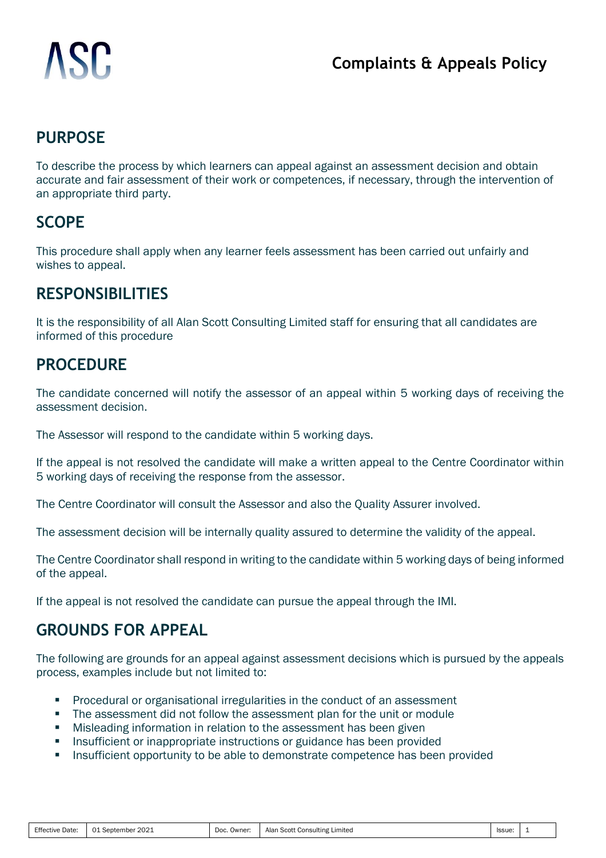# **PURPOSE**

To describe the process by which learners can appeal against an assessment decision and obtain accurate and fair assessment of their work or competences, if necessary, through the intervention of an appropriate third party.

# **SCOPE**

This procedure shall apply when any learner feels assessment has been carried out unfairly and wishes to appeal.

### **RESPONSIBILITIES**

It is the responsibility of all Alan Scott Consulting Limited staff for ensuring that all candidates are informed of this procedure

#### **PROCEDURE**

The candidate concerned will notify the assessor of an appeal within 5 working days of receiving the assessment decision.

The Assessor will respond to the candidate within 5 working days.

If the appeal is not resolved the candidate will make a written appeal to the Centre Coordinator within 5 working days of receiving the response from the assessor.

The Centre Coordinator will consult the Assessor and also the Quality Assurer involved.

The assessment decision will be internally quality assured to determine the validity of the appeal.

The Centre Coordinator shall respond in writing to the candidate within 5 working days of being informed of the appeal.

If the appeal is not resolved the candidate can pursue the appeal through the IMI.

## **GROUNDS FOR APPEAL**

The following are grounds for an appeal against assessment decisions which is pursued by the appeals process, examples include but not limited to:

- Procedural or organisational irregularities in the conduct of an assessment
- The assessment did not follow the assessment plan for the unit or module
- Misleading information in relation to the assessment has been given
- **EXP** Insufficient or inappropriate instructions or guidance has been provided
- Insufficient opportunity to be able to demonstrate competence has been provided

| <b>Effective Date:</b><br>1. September 2021<br>01<br>Alan Scott Consulting Limited<br>Doc. Owner:<br>Issue: |  |
|-------------------------------------------------------------------------------------------------------------|--|
|-------------------------------------------------------------------------------------------------------------|--|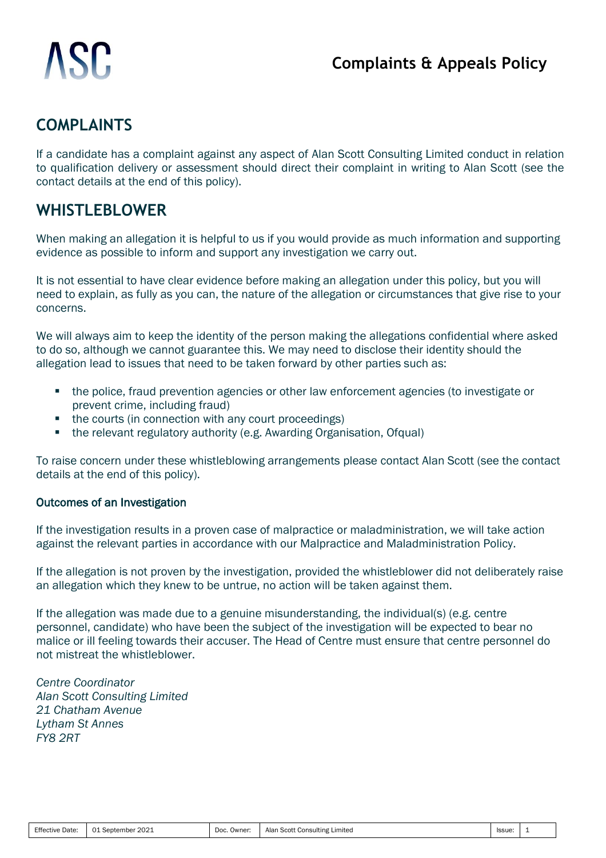# **Complaints & Appeals Policy**



### **COMPLAINTS**

If a candidate has a complaint against any aspect of Alan Scott Consulting Limited conduct in relation to qualification delivery or assessment should direct their complaint in writing to Alan Scott (see the contact details at the end of this policy).

# **WHISTLEBLOWER**

When making an allegation it is helpful to us if you would provide as much information and supporting evidence as possible to inform and support any investigation we carry out.

It is not essential to have clear evidence before making an allegation under this policy, but you will need to explain, as fully as you can, the nature of the allegation or circumstances that give rise to your concerns.

We will always aim to keep the identity of the person making the allegations confidential where asked to do so, although we cannot guarantee this. We may need to disclose their identity should the allegation lead to issues that need to be taken forward by other parties such as:

- the police, fraud prevention agencies or other law enforcement agencies (to investigate or prevent crime, including fraud)
- the courts (in connection with any court proceedings)
- the relevant regulatory authority (e.g. Awarding Organisation, Ofqual)

To raise concern under these whistleblowing arrangements please contact Alan Scott (see the contact details at the end of this policy).

#### Outcomes of an Investigation

If the investigation results in a proven case of malpractice or maladministration, we will take action against the relevant parties in accordance with our Malpractice and Maladministration Policy.

If the allegation is not proven by the investigation, provided the whistleblower did not deliberately raise an allegation which they knew to be untrue, no action will be taken against them.

If the allegation was made due to a genuine misunderstanding, the individual(s) (e.g. centre personnel, candidate) who have been the subject of the investigation will be expected to bear no malice or ill feeling towards their accuser. The Head of Centre must ensure that centre personnel do not mistreat the whistleblower.

*Centre Coordinator Alan Scott Consulting Limited 21 Chatham Avenue Lytham St Annes FY8 2RT*

| <b>Effective Date:</b> | 2021<br>-01<br>. Sentember | Doc.<br>Owner | Consulting '<br>Scott<br>Limited<br>Alar<br>$\sim$ $\sim$ $\sim$ | Issue.<br>. |  |
|------------------------|----------------------------|---------------|------------------------------------------------------------------|-------------|--|
|------------------------|----------------------------|---------------|------------------------------------------------------------------|-------------|--|